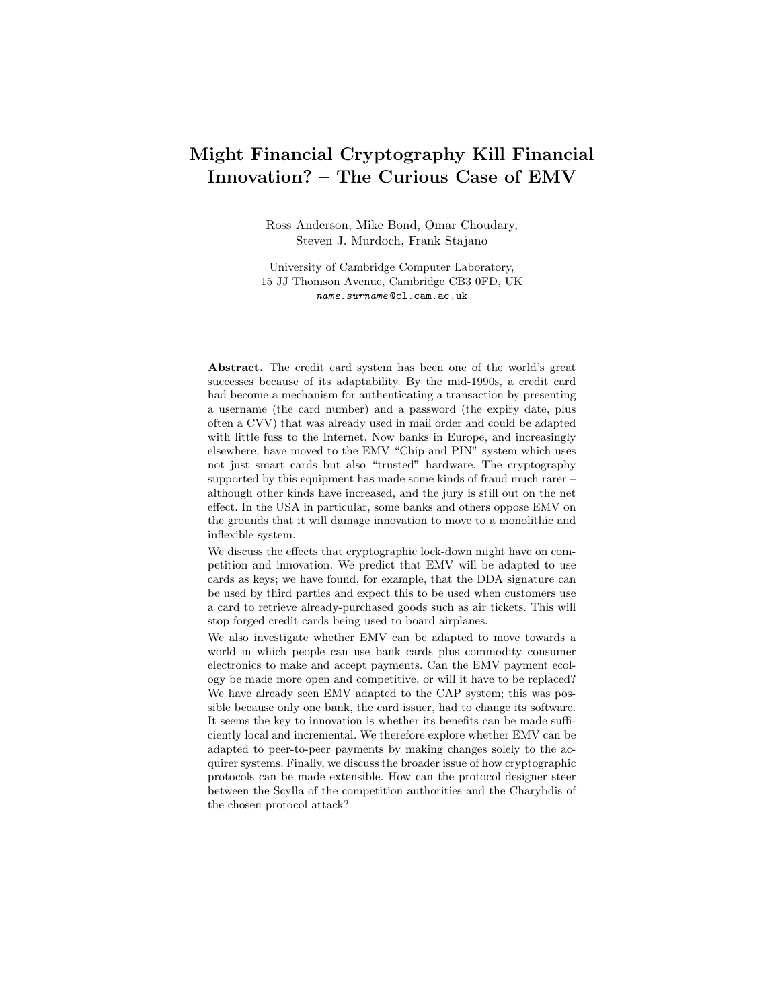# Might Financial Cryptography Kill Financial Innovation? – The Curious Case of EMV

Ross Anderson, Mike Bond, Omar Choudary, Steven J. Murdoch, Frank Stajano

University of Cambridge Computer Laboratory, 15 JJ Thomson Avenue, Cambridge CB3 0FD, UK name.surname @cl.cam.ac.uk

Abstract. The credit card system has been one of the world's great successes because of its adaptability. By the mid-1990s, a credit card had become a mechanism for authenticating a transaction by presenting a username (the card number) and a password (the expiry date, plus often a CVV) that was already used in mail order and could be adapted with little fuss to the Internet. Now banks in Europe, and increasingly elsewhere, have moved to the EMV "Chip and PIN" system which uses not just smart cards but also "trusted" hardware. The cryptography supported by this equipment has made some kinds of fraud much rarer – although other kinds have increased, and the jury is still out on the net effect. In the USA in particular, some banks and others oppose EMV on the grounds that it will damage innovation to move to a monolithic and inflexible system.

We discuss the effects that cryptographic lock-down might have on competition and innovation. We predict that EMV will be adapted to use cards as keys; we have found, for example, that the DDA signature can be used by third parties and expect this to be used when customers use a card to retrieve already-purchased goods such as air tickets. This will stop forged credit cards being used to board airplanes.

We also investigate whether EMV can be adapted to move towards a world in which people can use bank cards plus commodity consumer electronics to make and accept payments. Can the EMV payment ecology be made more open and competitive, or will it have to be replaced? We have already seen EMV adapted to the CAP system; this was possible because only one bank, the card issuer, had to change its software. It seems the key to innovation is whether its benefits can be made sufficiently local and incremental. We therefore explore whether EMV can be adapted to peer-to-peer payments by making changes solely to the acquirer systems. Finally, we discuss the broader issue of how cryptographic protocols can be made extensible. How can the protocol designer steer between the Scylla of the competition authorities and the Charybdis of the chosen protocol attack?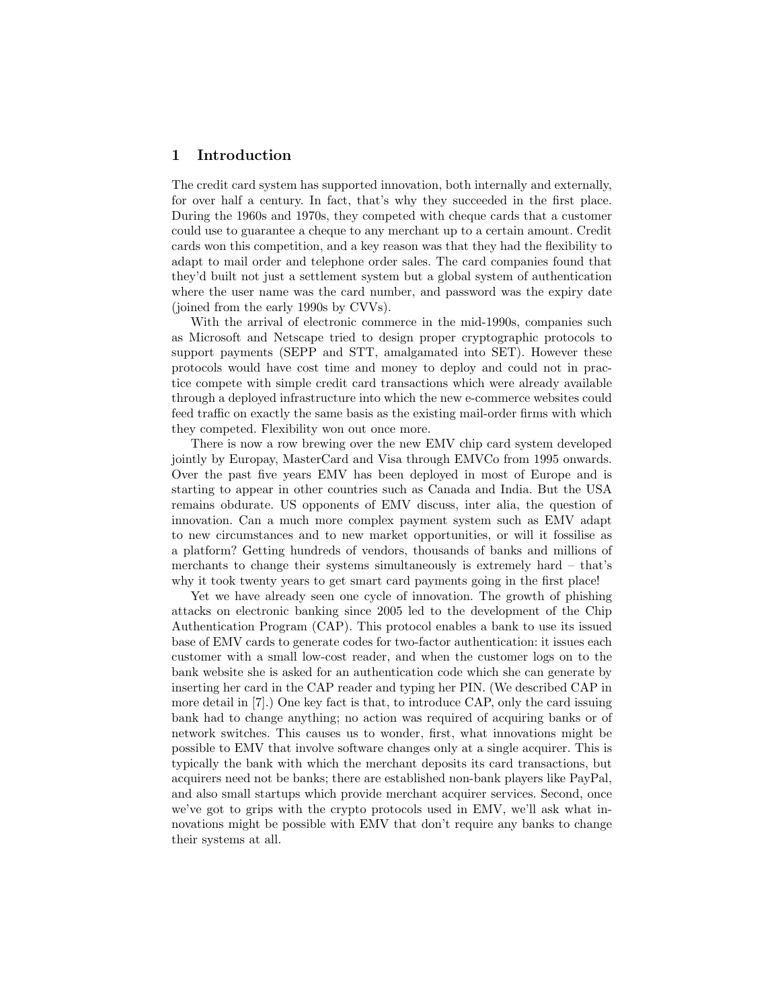## 1 Introduction

The credit card system has supported innovation, both internally and externally, for over half a century. In fact, that's why they succeeded in the first place. During the 1960s and 1970s, they competed with cheque cards that a customer could use to guarantee a cheque to any merchant up to a certain amount. Credit cards won this competition, and a key reason was that they had the flexibility to adapt to mail order and telephone order sales. The card companies found that they'd built not just a settlement system but a global system of authentication where the user name was the card number, and password was the expiry date (joined from the early 1990s by CVVs).

With the arrival of electronic commerce in the mid-1990s, companies such as Microsoft and Netscape tried to design proper cryptographic protocols to support payments (SEPP and STT, amalgamated into SET). However these protocols would have cost time and money to deploy and could not in practice compete with simple credit card transactions which were already available through a deployed infrastructure into which the new e-commerce websites could feed traffic on exactly the same basis as the existing mail-order firms with which they competed. Flexibility won out once more.

There is now a row brewing over the new EMV chip card system developed jointly by Europay, MasterCard and Visa through EMVCo from 1995 onwards. Over the past five years EMV has been deployed in most of Europe and is starting to appear in other countries such as Canada and India. But the USA remains obdurate. US opponents of EMV discuss, inter alia, the question of innovation. Can a much more complex payment system such as EMV adapt to new circumstances and to new market opportunities, or will it fossilise as a platform? Getting hundreds of vendors, thousands of banks and millions of merchants to change their systems simultaneously is extremely hard – that's why it took twenty years to get smart card payments going in the first place!

Yet we have already seen one cycle of innovation. The growth of phishing attacks on electronic banking since 2005 led to the development of the Chip Authentication Program (CAP). This protocol enables a bank to use its issued base of EMV cards to generate codes for two-factor authentication: it issues each customer with a small low-cost reader, and when the customer logs on to the bank website she is asked for an authentication code which she can generate by inserting her card in the CAP reader and typing her PIN. (We described CAP in more detail in [7].) One key fact is that, to introduce CAP, only the card issuing bank had to change anything; no action was required of acquiring banks or of network switches. This causes us to wonder, first, what innovations might be possible to EMV that involve software changes only at a single acquirer. This is typically the bank with which the merchant deposits its card transactions, but acquirers need not be banks; there are established non-bank players like PayPal, and also small startups which provide merchant acquirer services. Second, once we've got to grips with the crypto protocols used in EMV, we'll ask what innovations might be possible with EMV that don't require any banks to change their systems at all.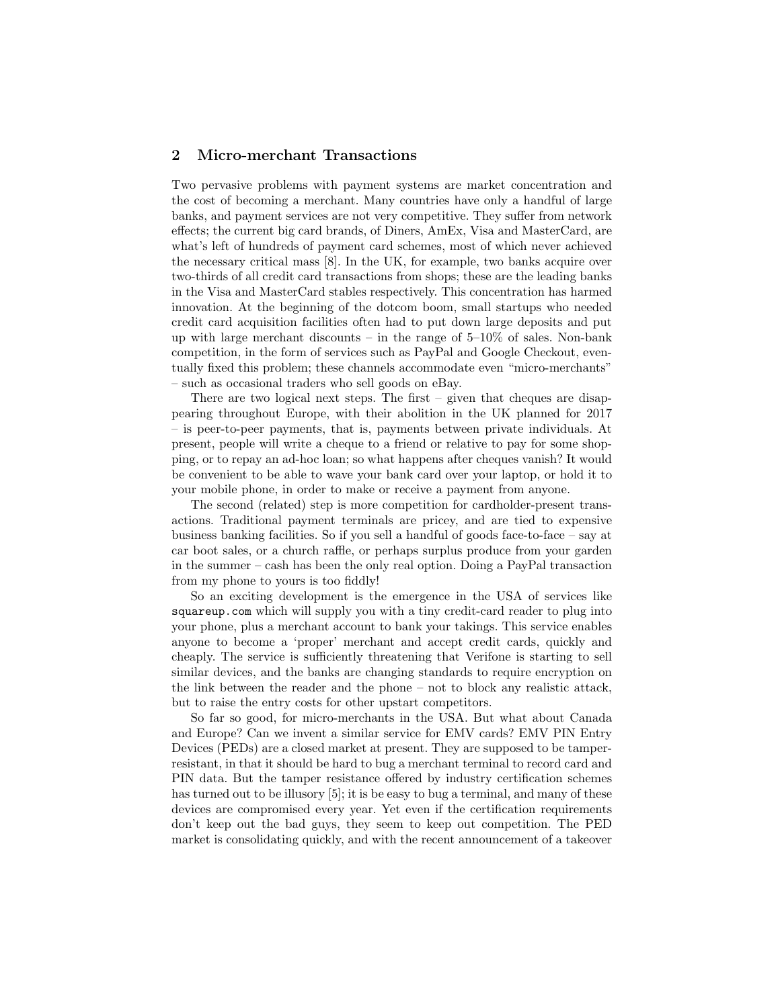# 2 Micro-merchant Transactions

Two pervasive problems with payment systems are market concentration and the cost of becoming a merchant. Many countries have only a handful of large banks, and payment services are not very competitive. They suffer from network effects; the current big card brands, of Diners, AmEx, Visa and MasterCard, are what's left of hundreds of payment card schemes, most of which never achieved the necessary critical mass [8]. In the UK, for example, two banks acquire over two-thirds of all credit card transactions from shops; these are the leading banks in the Visa and MasterCard stables respectively. This concentration has harmed innovation. At the beginning of the dotcom boom, small startups who needed credit card acquisition facilities often had to put down large deposits and put up with large merchant discounts – in the range of  $5-10\%$  of sales. Non-bank competition, in the form of services such as PayPal and Google Checkout, eventually fixed this problem; these channels accommodate even "micro-merchants" – such as occasional traders who sell goods on eBay.

There are two logical next steps. The first – given that cheques are disappearing throughout Europe, with their abolition in the UK planned for 2017 – is peer-to-peer payments, that is, payments between private individuals. At present, people will write a cheque to a friend or relative to pay for some shopping, or to repay an ad-hoc loan; so what happens after cheques vanish? It would be convenient to be able to wave your bank card over your laptop, or hold it to your mobile phone, in order to make or receive a payment from anyone.

The second (related) step is more competition for cardholder-present transactions. Traditional payment terminals are pricey, and are tied to expensive business banking facilities. So if you sell a handful of goods face-to-face – say at car boot sales, or a church raffle, or perhaps surplus produce from your garden in the summer – cash has been the only real option. Doing a PayPal transaction from my phone to yours is too fiddly!

So an exciting development is the emergence in the USA of services like squareup.com which will supply you with a tiny credit-card reader to plug into your phone, plus a merchant account to bank your takings. This service enables anyone to become a 'proper' merchant and accept credit cards, quickly and cheaply. The service is sufficiently threatening that Verifone is starting to sell similar devices, and the banks are changing standards to require encryption on the link between the reader and the phone – not to block any realistic attack, but to raise the entry costs for other upstart competitors.

So far so good, for micro-merchants in the USA. But what about Canada and Europe? Can we invent a similar service for EMV cards? EMV PIN Entry Devices (PEDs) are a closed market at present. They are supposed to be tamperresistant, in that it should be hard to bug a merchant terminal to record card and PIN data. But the tamper resistance offered by industry certification schemes has turned out to be illusory [5]; it is be easy to bug a terminal, and many of these devices are compromised every year. Yet even if the certification requirements don't keep out the bad guys, they seem to keep out competition. The PED market is consolidating quickly, and with the recent announcement of a takeover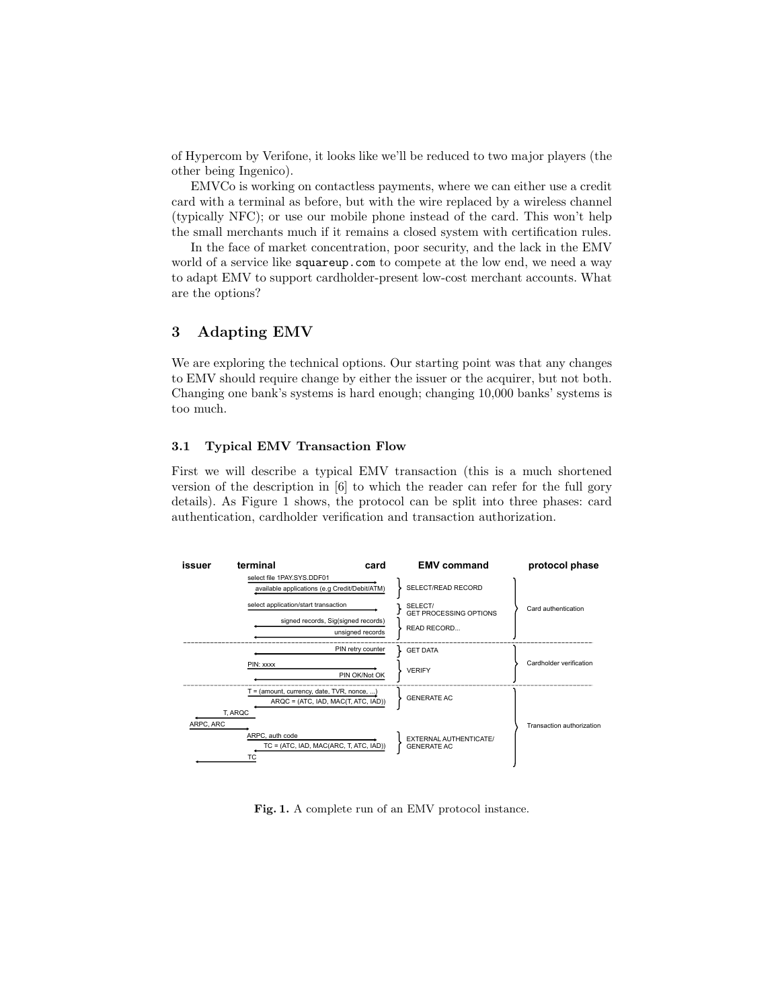of Hypercom by Verifone, it looks like we'll be reduced to two major players (the other being Ingenico).

EMVCo is working on contactless payments, where we can either use a credit card with a terminal as before, but with the wire replaced by a wireless channel (typically NFC); or use our mobile phone instead of the card. This won't help the small merchants much if it remains a closed system with certification rules.

In the face of market concentration, poor security, and the lack in the EMV world of a service like squareup.com to compete at the low end, we need a way to adapt EMV to support cardholder-present low-cost merchant accounts. What are the options?

## 3 Adapting EMV

We are exploring the technical options. Our starting point was that any changes to EMV should require change by either the issuer or the acquirer, but not both. Changing one bank's systems is hard enough; changing 10,000 banks' systems is too much.

#### 3.1 Typical EMV Transaction Flow

First we will describe a typical EMV transaction (this is a much shortened version of the description in [6] to which the reader can refer for the full gory details). As Figure 1 shows, the protocol can be split into three phases: card<br>sutherities cardbolder verification and transaction authorization authentication, cardholder verification and transaction authorization.



Fig. 1. A complete run of an EMV protocol instance.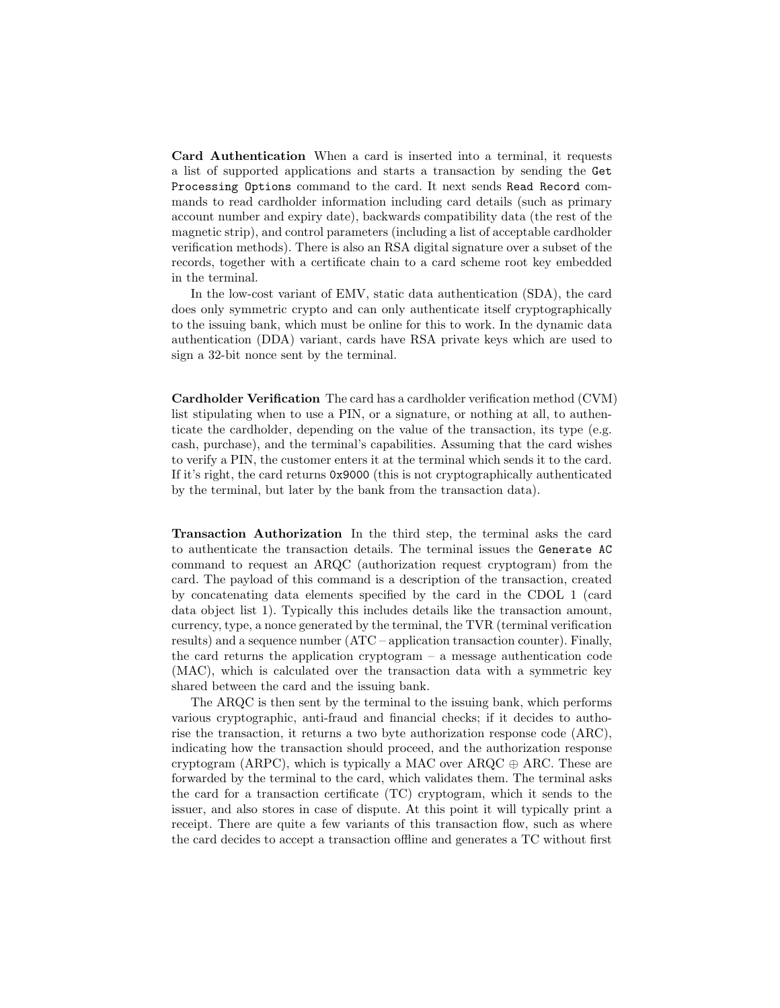Card Authentication When a card is inserted into a terminal, it requests a list of supported applications and starts a transaction by sending the Get Processing Options command to the card. It next sends Read Record commands to read cardholder information including card details (such as primary account number and expiry date), backwards compatibility data (the rest of the magnetic strip), and control parameters (including a list of acceptable cardholder verification methods). There is also an RSA digital signature over a subset of the records, together with a certificate chain to a card scheme root key embedded in the terminal.

In the low-cost variant of EMV, static data authentication (SDA), the card does only symmetric crypto and can only authenticate itself cryptographically to the issuing bank, which must be online for this to work. In the dynamic data authentication (DDA) variant, cards have RSA private keys which are used to sign a 32-bit nonce sent by the terminal.

Cardholder Verification The card has a cardholder verification method (CVM) list stipulating when to use a PIN, or a signature, or nothing at all, to authenticate the cardholder, depending on the value of the transaction, its type (e.g. cash, purchase), and the terminal's capabilities. Assuming that the card wishes to verify a PIN, the customer enters it at the terminal which sends it to the card. If it's right, the card returns 0x9000 (this is not cryptographically authenticated by the terminal, but later by the bank from the transaction data).

Transaction Authorization In the third step, the terminal asks the card to authenticate the transaction details. The terminal issues the Generate AC command to request an ARQC (authorization request cryptogram) from the card. The payload of this command is a description of the transaction, created by concatenating data elements specified by the card in the CDOL 1 (card data object list 1). Typically this includes details like the transaction amount, currency, type, a nonce generated by the terminal, the TVR (terminal verification results) and a sequence number (ATC – application transaction counter). Finally, the card returns the application cryptogram – a message authentication code (MAC), which is calculated over the transaction data with a symmetric key shared between the card and the issuing bank.

The ARQC is then sent by the terminal to the issuing bank, which performs various cryptographic, anti-fraud and financial checks; if it decides to authorise the transaction, it returns a two byte authorization response code (ARC), indicating how the transaction should proceed, and the authorization response cryptogram (ARPC), which is typically a MAC over ARQC  $\oplus$  ARC. These are forwarded by the terminal to the card, which validates them. The terminal asks the card for a transaction certificate (TC) cryptogram, which it sends to the issuer, and also stores in case of dispute. At this point it will typically print a receipt. There are quite a few variants of this transaction flow, such as where the card decides to accept a transaction offline and generates a TC without first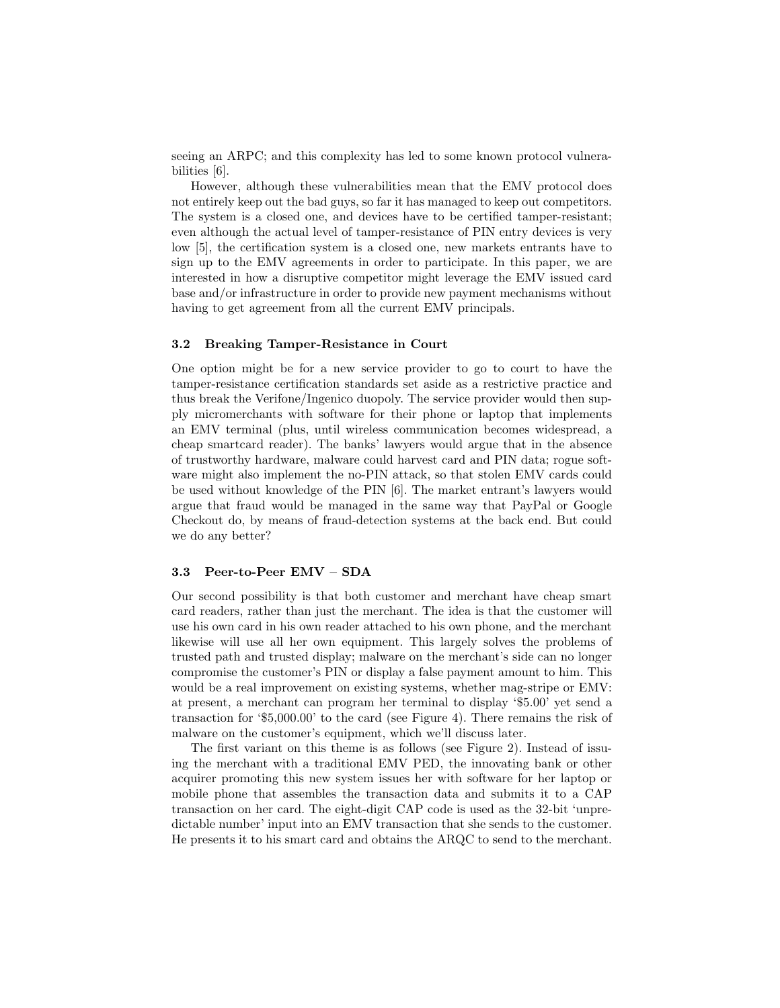seeing an ARPC; and this complexity has led to some known protocol vulnerabilities [6].

However, although these vulnerabilities mean that the EMV protocol does not entirely keep out the bad guys, so far it has managed to keep out competitors. The system is a closed one, and devices have to be certified tamper-resistant; even although the actual level of tamper-resistance of PIN entry devices is very low [5], the certification system is a closed one, new markets entrants have to sign up to the EMV agreements in order to participate. In this paper, we are interested in how a disruptive competitor might leverage the EMV issued card base and/or infrastructure in order to provide new payment mechanisms without having to get agreement from all the current EMV principals.

#### 3.2 Breaking Tamper-Resistance in Court

One option might be for a new service provider to go to court to have the tamper-resistance certification standards set aside as a restrictive practice and thus break the Verifone/Ingenico duopoly. The service provider would then supply micromerchants with software for their phone or laptop that implements an EMV terminal (plus, until wireless communication becomes widespread, a cheap smartcard reader). The banks' lawyers would argue that in the absence of trustworthy hardware, malware could harvest card and PIN data; rogue software might also implement the no-PIN attack, so that stolen EMV cards could be used without knowledge of the PIN [6]. The market entrant's lawyers would argue that fraud would be managed in the same way that PayPal or Google Checkout do, by means of fraud-detection systems at the back end. But could we do any better?

#### 3.3 Peer-to-Peer EMV – SDA

Our second possibility is that both customer and merchant have cheap smart card readers, rather than just the merchant. The idea is that the customer will use his own card in his own reader attached to his own phone, and the merchant likewise will use all her own equipment. This largely solves the problems of trusted path and trusted display; malware on the merchant's side can no longer compromise the customer's PIN or display a false payment amount to him. This would be a real improvement on existing systems, whether mag-stripe or EMV: at present, a merchant can program her terminal to display '\$5.00' yet send a transaction for '\$5,000.00' to the card (see Figure 4). There remains the risk of malware on the customer's equipment, which we'll discuss later.

The first variant on this theme is as follows (see Figure 2). Instead of issuing the merchant with a traditional EMV PED, the innovating bank or other acquirer promoting this new system issues her with software for her laptop or mobile phone that assembles the transaction data and submits it to a CAP transaction on her card. The eight-digit CAP code is used as the 32-bit 'unpredictable number' input into an EMV transaction that she sends to the customer. He presents it to his smart card and obtains the ARQC to send to the merchant.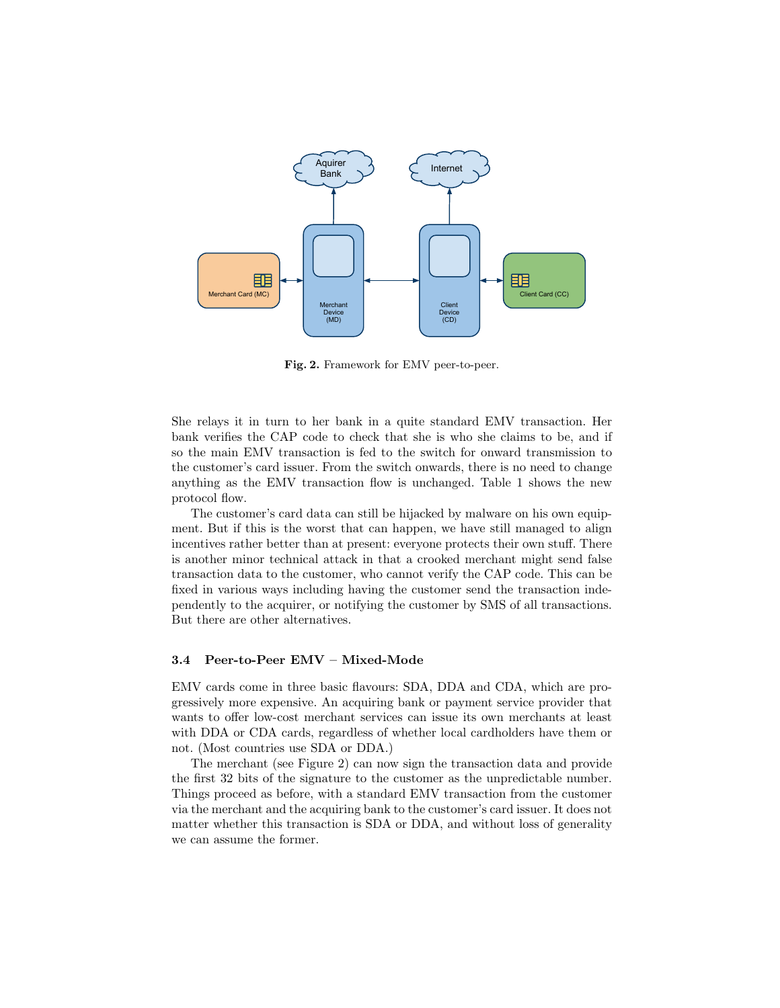

Fig. 2. Framework for EMV peer-to-peer.

She relays it in turn to her bank in a quite standard EMV transaction. Her bank verifies the CAP code to check that she is who she claims to be, and if so the main EMV transaction is fed to the switch for onward transmission to the customer's card issuer. From the switch onwards, there is no need to change anything as the EMV transaction flow is unchanged. Table 1 shows the new protocol flow.

The customer's card data can still be hijacked by malware on his own equipment. But if this is the worst that can happen, we have still managed to align incentives rather better than at present: everyone protects their own stuff. There is another minor technical attack in that a crooked merchant might send false transaction data to the customer, who cannot verify the CAP code. This can be fixed in various ways including having the customer send the transaction independently to the acquirer, or notifying the customer by SMS of all transactions. But there are other alternatives.

## 3.4 Peer-to-Peer EMV – Mixed-Mode

EMV cards come in three basic flavours: SDA, DDA and CDA, which are progressively more expensive. An acquiring bank or payment service provider that wants to offer low-cost merchant services can issue its own merchants at least with DDA or CDA cards, regardless of whether local cardholders have them or not. (Most countries use SDA or DDA.)

The merchant (see Figure 2) can now sign the transaction data and provide the first 32 bits of the signature to the customer as the unpredictable number. Things proceed as before, with a standard EMV transaction from the customer via the merchant and the acquiring bank to the customer's card issuer. It does not matter whether this transaction is SDA or DDA, and without loss of generality we can assume the former.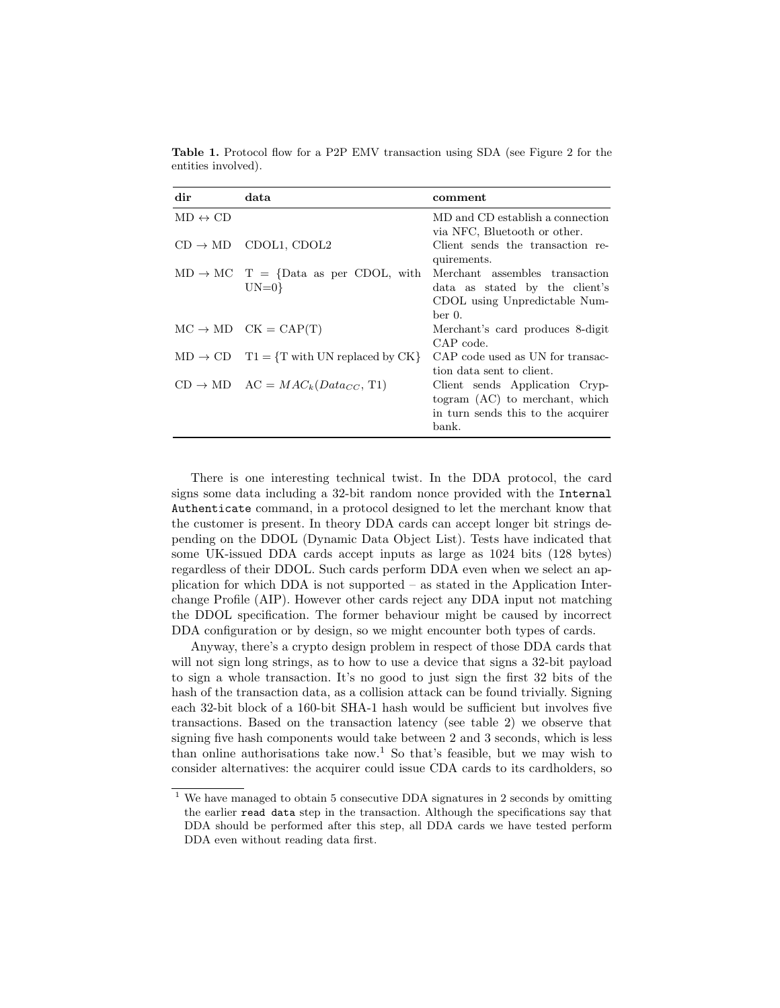Table 1. Protocol flow for a P2P EMV transaction using SDA (see Figure 2 for the entities involved).

| dir                     | data                                                      | comment                                                                                                               |
|-------------------------|-----------------------------------------------------------|-----------------------------------------------------------------------------------------------------------------------|
| $MD \leftrightarrow CD$ |                                                           | MD and CD establish a connection<br>via NFC, Bluetooth or other.                                                      |
|                         | $CD \rightarrow MD$ CDOL1, CDOL2                          | Client sends the transaction re-<br>quirements.                                                                       |
|                         | $MD \rightarrow MC$ T = {Data as per CDOL, with<br>$UN=0$ | Merchant assembles transaction<br>data as stated by the client's<br>CDOL using Unpredictable Num-<br>ber <sub>0</sub> |
|                         | $MC \rightarrow MD$ $CK = CAP(T)$                         | Merchant's card produces 8-digit<br>CAP code.                                                                         |
|                         | $MD \rightarrow CD$ $T1 = {T with UN replaced by CK}$     | CAP code used as UN for transac-<br>tion data sent to client.                                                         |
|                         | $CD \rightarrow MD \quad AC = MAC_k(Data_{CC}, T1)$       | Client sends Application Cryp-<br>togram (AC) to merchant, which<br>in turn sends this to the acquirer<br>bank.       |

There is one interesting technical twist. In the DDA protocol, the card signs some data including a 32-bit random nonce provided with the Internal Authenticate command, in a protocol designed to let the merchant know that the customer is present. In theory DDA cards can accept longer bit strings depending on the DDOL (Dynamic Data Object List). Tests have indicated that some UK-issued DDA cards accept inputs as large as 1024 bits (128 bytes) regardless of their DDOL. Such cards perform DDA even when we select an application for which DDA is not supported – as stated in the Application Interchange Profile (AIP). However other cards reject any DDA input not matching the DDOL specification. The former behaviour might be caused by incorrect DDA configuration or by design, so we might encounter both types of cards.

Anyway, there's a crypto design problem in respect of those DDA cards that will not sign long strings, as to how to use a device that signs a 32-bit payload to sign a whole transaction. It's no good to just sign the first 32 bits of the hash of the transaction data, as a collision attack can be found trivially. Signing each 32-bit block of a 160-bit SHA-1 hash would be sufficient but involves five transactions. Based on the transaction latency (see table 2) we observe that signing five hash components would take between 2 and 3 seconds, which is less than online authorisations take now.<sup>1</sup> So that's feasible, but we may wish to consider alternatives: the acquirer could issue CDA cards to its cardholders, so

 $^{\rm 1}$  We have managed to obtain 5 consecutive DDA signatures in 2 seconds by omitting the earlier read data step in the transaction. Although the specifications say that DDA should be performed after this step, all DDA cards we have tested perform DDA even without reading data first.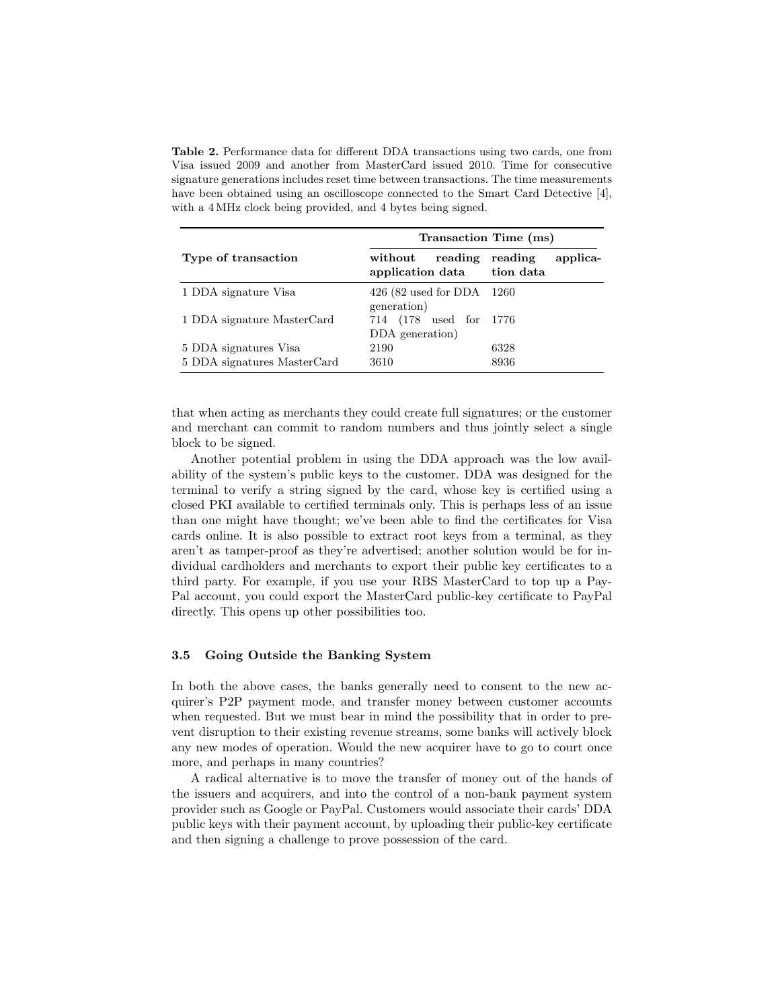Table 2. Performance data for different DDA transactions using two cards, one from Visa issued 2009 and another from MasterCard issued 2010. Time for consecutive signature generations includes reset time between transactions. The time measurements have been obtained using an oscilloscope connected to the Smart Card Detective [4], with a 4 MHz clock being provided, and 4 bytes being signed.

|                             | Transaction Time (ms)                       |                                  |  |
|-----------------------------|---------------------------------------------|----------------------------------|--|
| Type of transaction         | reading<br>without<br>application data      | reading<br>applica-<br>tion data |  |
| 1 DDA signature Visa        | $426(82$ used for DDA $1260$<br>generation) |                                  |  |
| 1 DDA signature MasterCard  | 714 (178 used for 1776)<br>DDA generation)  |                                  |  |
| 5 DDA signatures Visa       | 2190                                        | 6328                             |  |
| 5 DDA signatures MasterCard | 3610                                        | 8936                             |  |

that when acting as merchants they could create full signatures; or the customer and merchant can commit to random numbers and thus jointly select a single block to be signed.

Another potential problem in using the DDA approach was the low availability of the system's public keys to the customer. DDA was designed for the terminal to verify a string signed by the card, whose key is certified using a closed PKI available to certified terminals only. This is perhaps less of an issue than one might have thought; we've been able to find the certificates for Visa cards online. It is also possible to extract root keys from a terminal, as they aren't as tamper-proof as they're advertised; another solution would be for individual cardholders and merchants to export their public key certificates to a third party. For example, if you use your RBS MasterCard to top up a Pay-Pal account, you could export the MasterCard public-key certificate to PayPal directly. This opens up other possibilities too.

#### 3.5 Going Outside the Banking System

In both the above cases, the banks generally need to consent to the new acquirer's P2P payment mode, and transfer money between customer accounts when requested. But we must bear in mind the possibility that in order to prevent disruption to their existing revenue streams, some banks will actively block any new modes of operation. Would the new acquirer have to go to court once more, and perhaps in many countries?

A radical alternative is to move the transfer of money out of the hands of the issuers and acquirers, and into the control of a non-bank payment system provider such as Google or PayPal. Customers would associate their cards' DDA public keys with their payment account, by uploading their public-key certificate and then signing a challenge to prove possession of the card.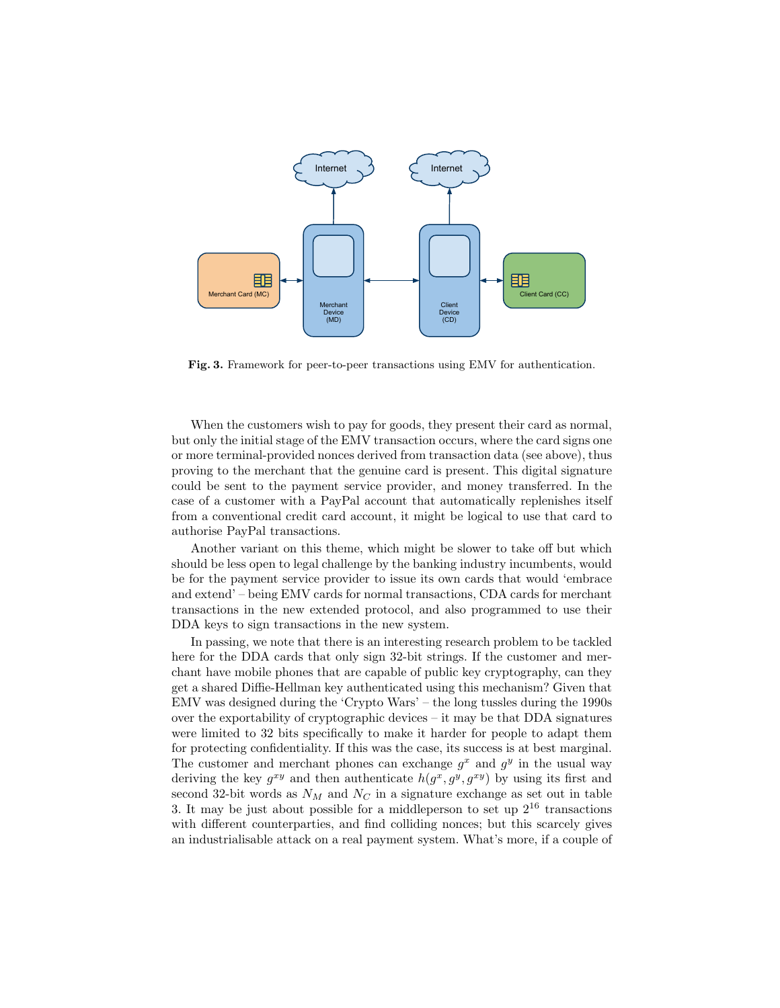

Fig. 3. Framework for peer-to-peer transactions using EMV for authentication.

When the customers wish to pay for goods, they present their card as normal, but only the initial stage of the EMV transaction occurs, where the card signs one or more terminal-provided nonces derived from transaction data (see above), thus proving to the merchant that the genuine card is present. This digital signature could be sent to the payment service provider, and money transferred. In the case of a customer with a PayPal account that automatically replenishes itself from a conventional credit card account, it might be logical to use that card to authorise PayPal transactions.

Another variant on this theme, which might be slower to take off but which should be less open to legal challenge by the banking industry incumbents, would be for the payment service provider to issue its own cards that would 'embrace and extend' – being EMV cards for normal transactions, CDA cards for merchant transactions in the new extended protocol, and also programmed to use their DDA keys to sign transactions in the new system.

In passing, we note that there is an interesting research problem to be tackled here for the DDA cards that only sign 32-bit strings. If the customer and merchant have mobile phones that are capable of public key cryptography, can they get a shared Diffie-Hellman key authenticated using this mechanism? Given that EMV was designed during the 'Crypto Wars' – the long tussles during the 1990s over the exportability of cryptographic devices  $-$  it may be that DDA signatures were limited to 32 bits specifically to make it harder for people to adapt them for protecting confidentiality. If this was the case, its success is at best marginal. The customer and merchant phones can exchange  $g^x$  and  $g^y$  in the usual way deriving the key  $g^{xy}$  and then authenticate  $h(g^x, g^y, g^{xy})$  by using its first and second 32-bit words as  $N_M$  and  $N_C$  in a signature exchange as set out in table 3. It may be just about possible for a middle person to set up  $2^{16}$  transactions with different counterparties, and find colliding nonces; but this scarcely gives an industrialisable attack on a real payment system. What's more, if a couple of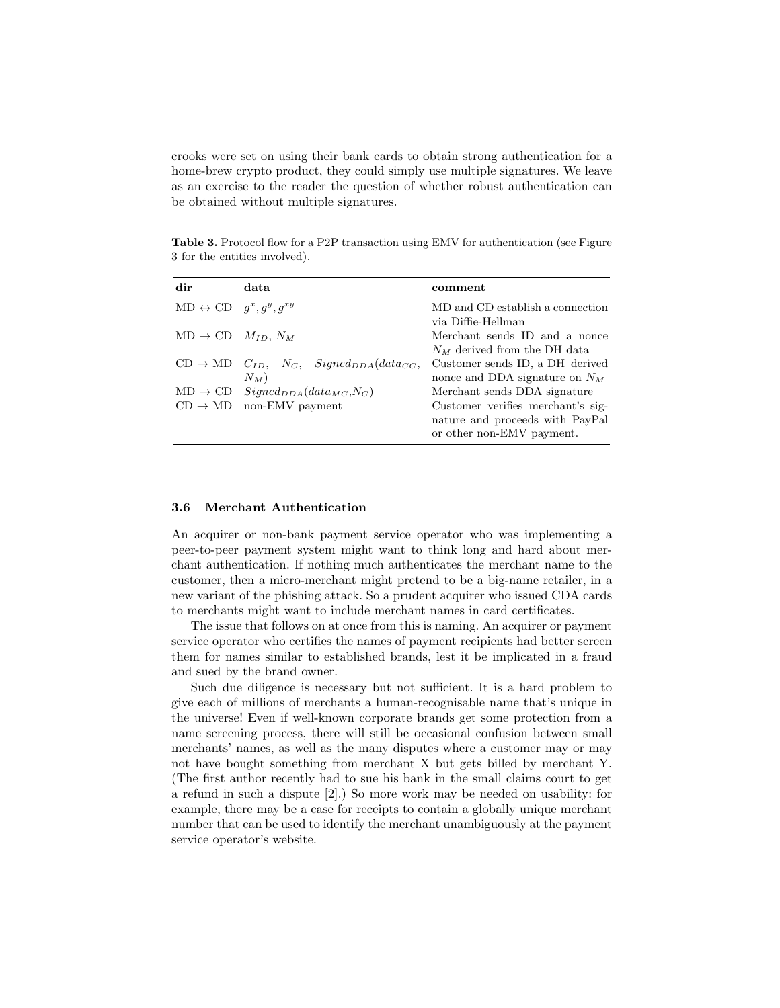crooks were set on using their bank cards to obtain strong authentication for a home-brew crypto product, they could simply use multiple signatures. We leave as an exercise to the reader the question of whether robust authentication can be obtained without multiple signatures.

Table 3. Protocol flow for a P2P transaction using EMV for authentication (see Figure 3 for the entities involved).

| dir                                            | data                                                                        | comment                                                                                           |
|------------------------------------------------|-----------------------------------------------------------------------------|---------------------------------------------------------------------------------------------------|
| $MD \leftrightarrow CD \quad g^x, g^y, g^{xy}$ |                                                                             | MD and CD establish a connection<br>via Diffie-Hellman                                            |
| $MD \rightarrow CD \quad M_{ID}, N_M$          |                                                                             | Merchant sends ID and a nonce<br>$N_M$ derived from the DH data                                   |
|                                                | $CD \rightarrow MD$ $C_{ID}$ , $N_C$ , $Signal_{DDA}(data_{CC})$<br>$N_M$ ) | Customer sends ID, a DH-derived<br>nonce and DDA signature on $N_M$                               |
|                                                | $MD \rightarrow CD$ $Signal_{DDA}(data_{MC}, N_C)$                          | Merchant sends DDA signature                                                                      |
|                                                | $CD \rightarrow MD$ non-EMV payment                                         | Customer verifies merchant's sig-<br>nature and proceeds with PayPal<br>or other non-EMV payment. |

#### 3.6 Merchant Authentication

An acquirer or non-bank payment service operator who was implementing a peer-to-peer payment system might want to think long and hard about merchant authentication. If nothing much authenticates the merchant name to the customer, then a micro-merchant might pretend to be a big-name retailer, in a new variant of the phishing attack. So a prudent acquirer who issued CDA cards to merchants might want to include merchant names in card certificates.

The issue that follows on at once from this is naming. An acquirer or payment service operator who certifies the names of payment recipients had better screen them for names similar to established brands, lest it be implicated in a fraud and sued by the brand owner.

Such due diligence is necessary but not sufficient. It is a hard problem to give each of millions of merchants a human-recognisable name that's unique in the universe! Even if well-known corporate brands get some protection from a name screening process, there will still be occasional confusion between small merchants' names, as well as the many disputes where a customer may or may not have bought something from merchant X but gets billed by merchant Y. (The first author recently had to sue his bank in the small claims court to get a refund in such a dispute [2].) So more work may be needed on usability: for example, there may be a case for receipts to contain a globally unique merchant number that can be used to identify the merchant unambiguously at the payment service operator's website.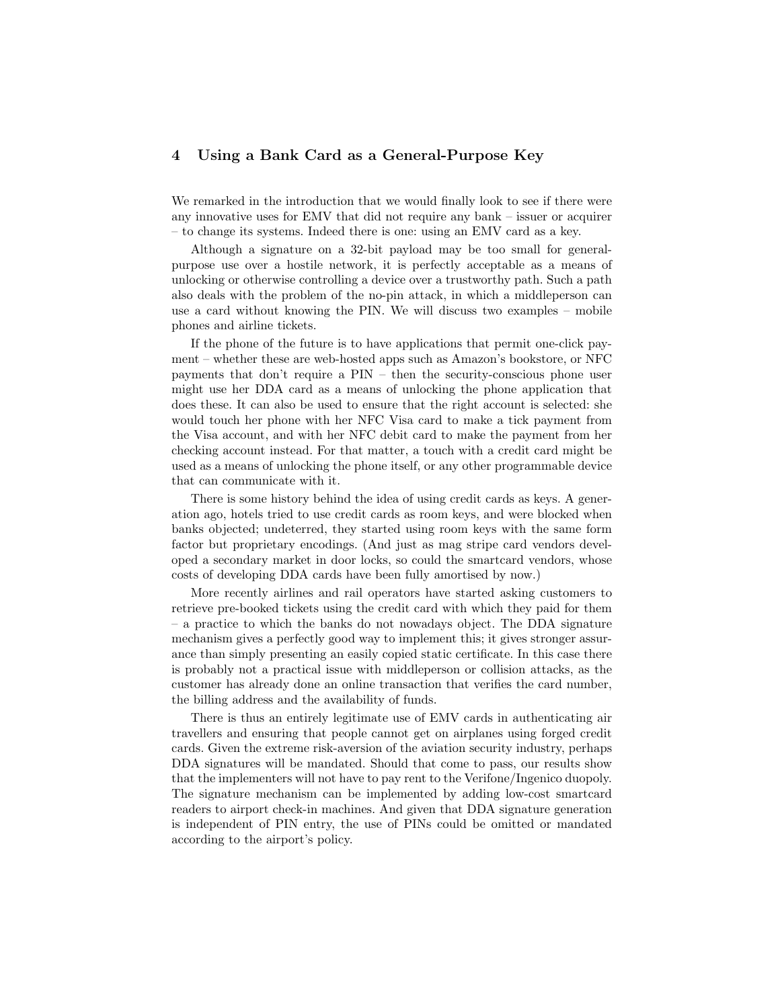## 4 Using a Bank Card as a General-Purpose Key

We remarked in the introduction that we would finally look to see if there were any innovative uses for EMV that did not require any bank – issuer or acquirer – to change its systems. Indeed there is one: using an EMV card as a key.

Although a signature on a 32-bit payload may be too small for generalpurpose use over a hostile network, it is perfectly acceptable as a means of unlocking or otherwise controlling a device over a trustworthy path. Such a path also deals with the problem of the no-pin attack, in which a middleperson can use a card without knowing the PIN. We will discuss two examples – mobile phones and airline tickets.

If the phone of the future is to have applications that permit one-click payment – whether these are web-hosted apps such as Amazon's bookstore, or NFC payments that don't require a PIN – then the security-conscious phone user might use her DDA card as a means of unlocking the phone application that does these. It can also be used to ensure that the right account is selected: she would touch her phone with her NFC Visa card to make a tick payment from the Visa account, and with her NFC debit card to make the payment from her checking account instead. For that matter, a touch with a credit card might be used as a means of unlocking the phone itself, or any other programmable device that can communicate with it.

There is some history behind the idea of using credit cards as keys. A generation ago, hotels tried to use credit cards as room keys, and were blocked when banks objected; undeterred, they started using room keys with the same form factor but proprietary encodings. (And just as mag stripe card vendors developed a secondary market in door locks, so could the smartcard vendors, whose costs of developing DDA cards have been fully amortised by now.)

More recently airlines and rail operators have started asking customers to retrieve pre-booked tickets using the credit card with which they paid for them – a practice to which the banks do not nowadays object. The DDA signature mechanism gives a perfectly good way to implement this; it gives stronger assurance than simply presenting an easily copied static certificate. In this case there is probably not a practical issue with middleperson or collision attacks, as the customer has already done an online transaction that verifies the card number, the billing address and the availability of funds.

There is thus an entirely legitimate use of EMV cards in authenticating air travellers and ensuring that people cannot get on airplanes using forged credit cards. Given the extreme risk-aversion of the aviation security industry, perhaps DDA signatures will be mandated. Should that come to pass, our results show that the implementers will not have to pay rent to the Verifone/Ingenico duopoly. The signature mechanism can be implemented by adding low-cost smartcard readers to airport check-in machines. And given that DDA signature generation is independent of PIN entry, the use of PINs could be omitted or mandated according to the airport's policy.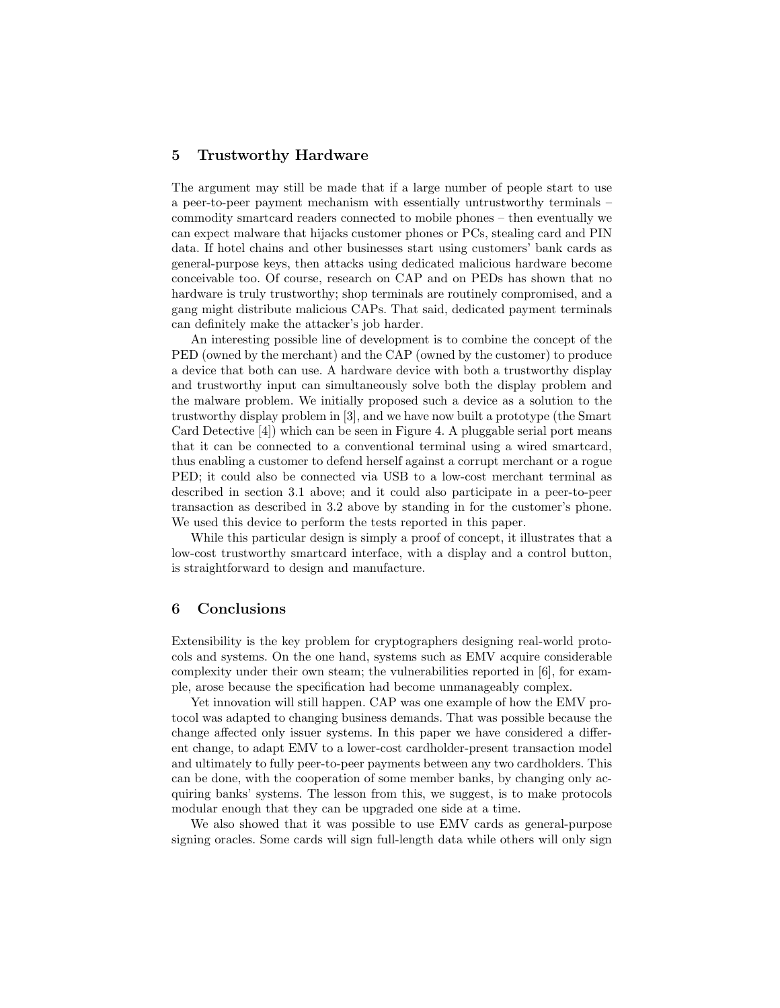## 5 Trustworthy Hardware

The argument may still be made that if a large number of people start to use a peer-to-peer payment mechanism with essentially untrustworthy terminals – commodity smartcard readers connected to mobile phones – then eventually we can expect malware that hijacks customer phones or PCs, stealing card and PIN data. If hotel chains and other businesses start using customers' bank cards as general-purpose keys, then attacks using dedicated malicious hardware become conceivable too. Of course, research on CAP and on PEDs has shown that no hardware is truly trustworthy; shop terminals are routinely compromised, and a gang might distribute malicious CAPs. That said, dedicated payment terminals can definitely make the attacker's job harder.

An interesting possible line of development is to combine the concept of the PED (owned by the merchant) and the CAP (owned by the customer) to produce a device that both can use. A hardware device with both a trustworthy display and trustworthy input can simultaneously solve both the display problem and the malware problem. We initially proposed such a device as a solution to the trustworthy display problem in [3], and we have now built a prototype (the Smart Card Detective [4]) which can be seen in Figure 4. A pluggable serial port means that it can be connected to a conventional terminal using a wired smartcard, thus enabling a customer to defend herself against a corrupt merchant or a rogue PED; it could also be connected via USB to a low-cost merchant terminal as described in section 3.1 above; and it could also participate in a peer-to-peer transaction as described in 3.2 above by standing in for the customer's phone. We used this device to perform the tests reported in this paper.

While this particular design is simply a proof of concept, it illustrates that a low-cost trustworthy smartcard interface, with a display and a control button, is straightforward to design and manufacture.

## 6 Conclusions

Extensibility is the key problem for cryptographers designing real-world protocols and systems. On the one hand, systems such as EMV acquire considerable complexity under their own steam; the vulnerabilities reported in [6], for example, arose because the specification had become unmanageably complex.

Yet innovation will still happen. CAP was one example of how the EMV protocol was adapted to changing business demands. That was possible because the change affected only issuer systems. In this paper we have considered a different change, to adapt EMV to a lower-cost cardholder-present transaction model and ultimately to fully peer-to-peer payments between any two cardholders. This can be done, with the cooperation of some member banks, by changing only acquiring banks' systems. The lesson from this, we suggest, is to make protocols modular enough that they can be upgraded one side at a time.

We also showed that it was possible to use EMV cards as general-purpose signing oracles. Some cards will sign full-length data while others will only sign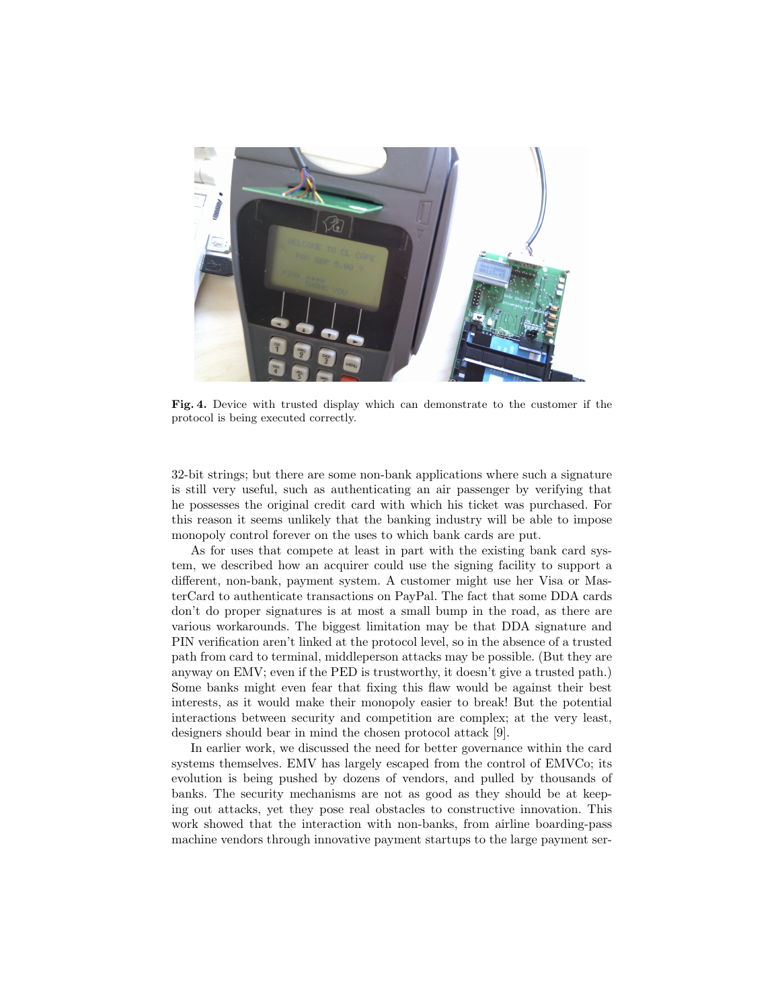

Fig. 4. Device with trusted display which can demonstrate to the customer if the protocol is being executed correctly.

32-bit strings; but there are some non-bank applications where such a signature is still very useful, such as authenticating an air passenger by verifying that he possesses the original credit card with which his ticket was purchased. For this reason it seems unlikely that the banking industry will be able to impose monopoly control forever on the uses to which bank cards are put.

As for uses that compete at least in part with the existing bank card system, we described how an acquirer could use the signing facility to support a different, non-bank, payment system. A customer might use her Visa or MasterCard to authenticate transactions on PayPal. The fact that some DDA cards don't do proper signatures is at most a small bump in the road, as there are various workarounds. The biggest limitation may be that DDA signature and PIN verification aren't linked at the protocol level, so in the absence of a trusted path from card to terminal, middleperson attacks may be possible. (But they are anyway on EMV; even if the PED is trustworthy, it doesn't give a trusted path.) Some banks might even fear that fixing this flaw would be against their best interests, as it would make their monopoly easier to break! But the potential interactions between security and competition are complex; at the very least, designers should bear in mind the chosen protocol attack [9].

In earlier work, we discussed the need for better governance within the card systems themselves. EMV has largely escaped from the control of EMVCo; its evolution is being pushed by dozens of vendors, and pulled by thousands of banks. The security mechanisms are not as good as they should be at keeping out attacks, yet they pose real obstacles to constructive innovation. This work showed that the interaction with non-banks, from airline boarding-pass machine vendors through innovative payment startups to the large payment ser